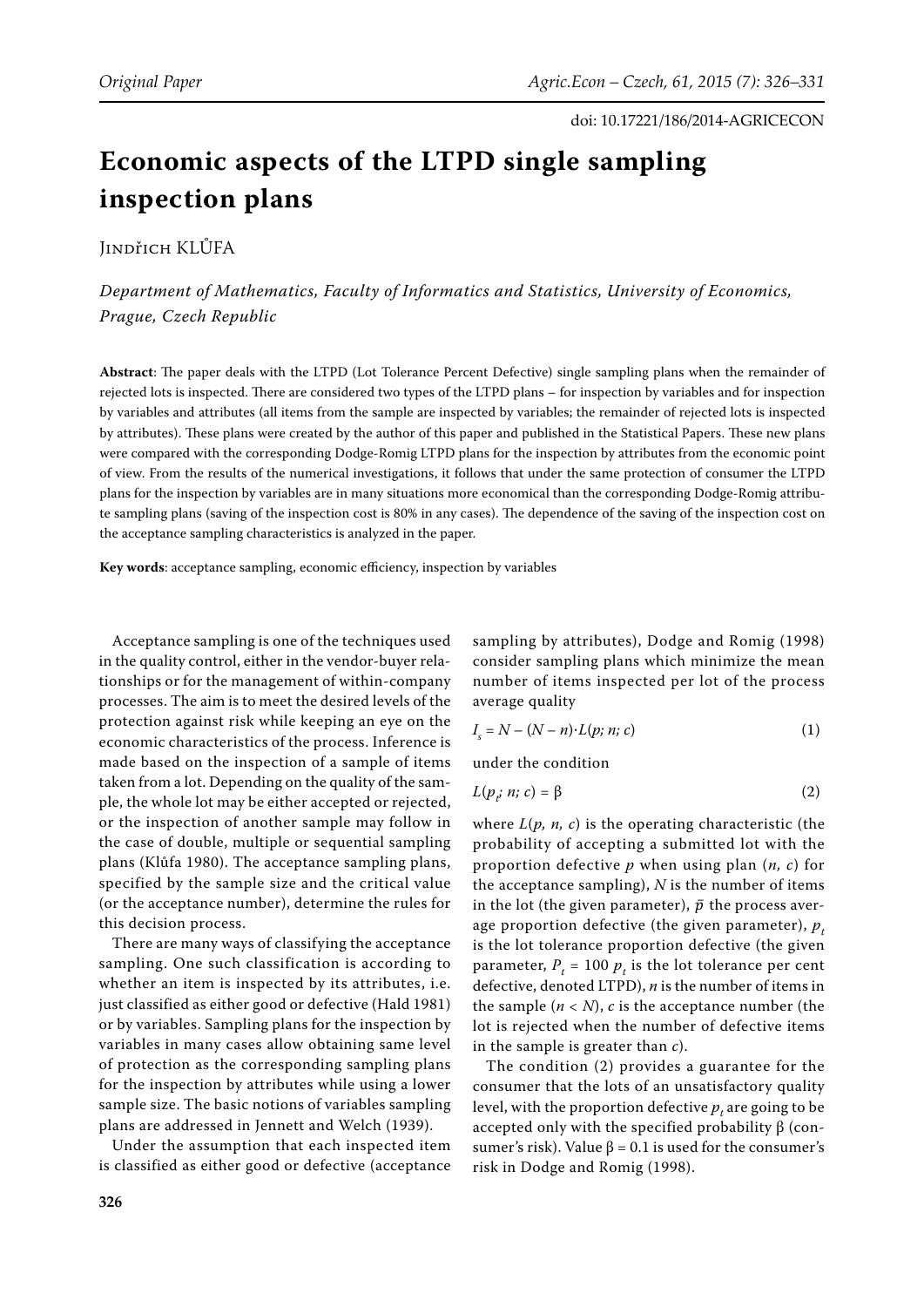# **Economic aspects of the LTPD single sampling inspection plans**

Jindřich KLŮFA

*Department of Mathematics, Faculty of Informatics and Statistics, University of Economics, Prague, Czech Republic*

Abstract: The paper deals with the LTPD (Lot Tolerance Percent Defective) single sampling plans when the remainder of rejected lots is inspected. There are considered two types of the LTPD plans – for inspection by variables and for inspection by variables and attributes (all items from the sample are inspected by variables; the remainder of rejected lots is inspected by attributes). These plans were created by the author of this paper and published in the Statistical Papers. These new plans were compared with the corresponding Dodge-Romig LTPD plans for the inspection by attributes from the economic point of view. From the results of the numerical investigations, it follows that under the same protection of consumer the LTPD plans for the inspection by variables are in many situations more economical than the corresponding Dodge-Romig attribute sampling plans (saving of the inspection cost is 80% in any cases). The dependence of the saving of the inspection cost on the acceptance sampling characteristics is analyzed in the paper.

**Key words**: acceptance sampling, economic efficiency, inspection by variables

Acceptance sampling is one of the techniques used in the quality control, either in the vendor-buyer relationships or for the management of within-company processes. The aim is to meet the desired levels of the protection against risk while keeping an eye on the economic characteristics of the process. Inference is made based on the inspection of a sample of items taken from a lot. Depending on the quality of the sample, the whole lot may be either accepted or rejected, or the inspection of another sample may follow in the case of double, multiple or sequential sampling plans (Klůfa 1980). The acceptance sampling plans, specified by the sample size and the critical value (or the acceptance number), determine the rules for this decision process.

There are many ways of classifying the acceptance sampling. One such classification is according to whether an item is inspected by its attributes, i.e. just classified as either good or defective (Hald 1981) or by variables. Sampling plans for the inspection by variables in many cases allow obtaining same level of protection as the corresponding sampling plans for the inspection by attributes while using a lower sample size. The basic notions of variables sampling plans are addressed in Jennett and Welch (1939).

Under the assumption that each inspected item is classified as either good or defective (acceptance sampling by attributes), Dodge and Romig (1998) consider sampling plans which minimize the mean number of items inspected per lot of the process average quality

$$
I_s = N - (N - n) \cdot L(p; n; c) \tag{1}
$$

under the condition

$$
L(p_i; n; c) = \beta \tag{2}
$$

where  $L(p, n, c)$  is the operating characteristic (the probability of accepting a submitted lot with the proportion defective *p* when using plan (*n, c*) for the acceptance sampling), *N* is the number of items in the lot (the given parameter),  $\bar{p}$  the process average proportion defective (the given parameter),  $p_t$ is the lot tolerance proportion defective (the given parameter,  $P_t = 100 P_t$  is the lot tolerance per cent defective, denoted LTPD), *n* is the number of items in the sample  $(n < N)$ , *c* is the acceptance number (the lot is rejected when the number of defective items in the sample is greater than *c*).

The condition (2) provides a guarantee for the consumer that the lots of an unsatisfactory quality level, with the proportion defective  $p_{_t}$  are going to be accepted only with the specified probability  $β$  (consumer's risk). Value  $\beta$  = 0.1 is used for the consumer's risk in Dodge and Romig (1998).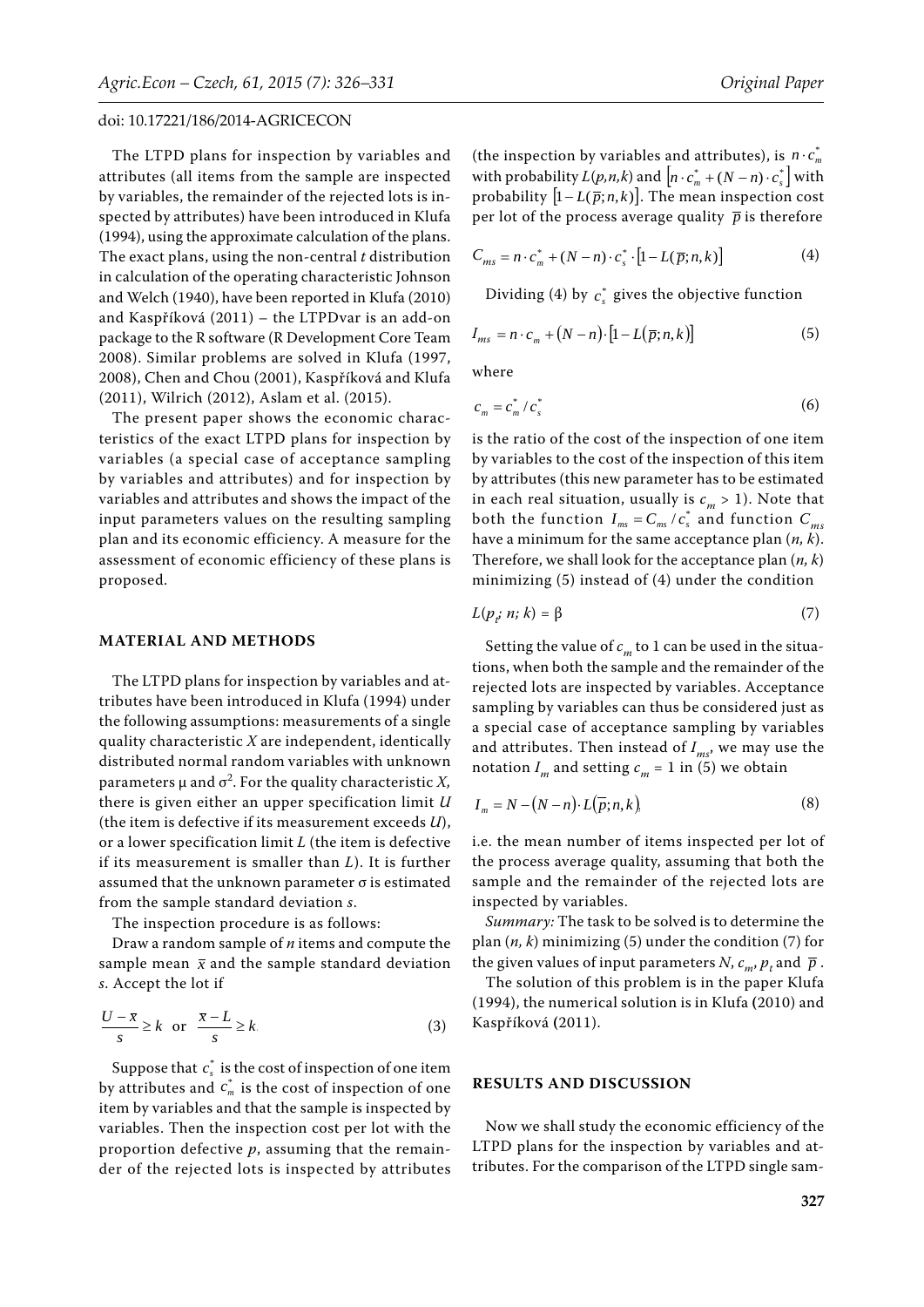The LTPD plans for inspection by variables and attributes (all items from the sample are inspected by variables, the remainder of the rejected lots is inspected by attributes) have been introduced in Klufa (1994), using the approximate calculation of the plans. The exact plans, using the non-central *t* distribution in calculation of the operating characteristic Johnson and Welch (1940), have been reported in Klufa (2010) and Kaspříková (2011) – the LTPDvar is an add-on package to the R software (R Development Core Team 2008). Similar problems are solved in Klufa (1997, 2008), Chen and Chou (2001), Kaspříková and Klufa (2011), Wilrich (2012), Aslam et al. (2015).

The present paper shows the economic characteristics of the exact LTPD plans for inspection by variables (a special case of acceptance sampling by variables and attributes) and for inspection by variables and attributes and shows the impact of the input parameters values on the resulting sampling plan and its economic efficiency. A measure for the assessment of economic efficiency of these plans is proposed.

# **MATERIAL AND METHODS**

The LTPD plans for inspection by variables and attributes have been introduced in Klufa (1994) under the following assumptions: measurements of a single quality characteristic *X* are independent, identically distributed normal random variables with unknown parameters  $\mu$  and  $\sigma^2$ . For the quality characteristic *X*, there is given either an upper specification limit *U*  (the item is defective if its measurement exceeds *U*), or a lower specification limit *L* (the item is defective if its measurement is smaller than *L*). It is further assumed that the unknown parameter σ is estimated from the sample standard deviation *s*.

The inspection procedure is as follows:

Draw a random sample of *n* items and compute the sample mean  $\bar{x}$  and the sample standard deviation *s*. Accept the lot if

$$
\frac{U - \overline{x}}{s} \ge k \quad \text{or} \quad \frac{\overline{x} - L}{s} \ge k. \tag{3}
$$

Suppose that  $c_s^*$  is the cost of inspection of one item by attributes and  $c_{\scriptscriptstyle m}^{*}$  is the cost of inspection of one item by variables and that the sample is inspected by variables. Then the inspection cost per lot with the proportion defective *p*, assuming that the remainder of the rejected lots is inspected by attributes

(the inspection by variables and attributes), is  $n \cdot c_m^*$ with probability  $L(p,n,k)$  and  $\left| n \cdot c_m^* + (N-n) \cdot c_s^* \right|$  with probability  $[1 - L(\overline{p}; n, k)]$ . The mean inspection cost per lot of the process average quality  $\bar{p}$  is therefore

$$
C_{ms} = n \cdot c_m^* + (N - n) \cdot c_s^* \cdot [1 - L(\overline{p}; n, k)] \tag{4}
$$

Dividing (4) by  $c_s^*$  gives the objective function

$$
I_{ms} = n \cdot c_m + (N - n) \cdot \left[1 - L(\overline{p}; n, k)\right] \tag{5}
$$

where

$$
c_m = c_m^* / c_s^* \tag{6}
$$

is the ratio of the cost of the inspection of one item by variables to the cost of the inspection of this item by attributes (this new parameter has to be estimated in each real situation, usually is  $c_m > 1$ ). Note that both the function  $I_{ms} = C_{ms}/c_s^*$  and function  $C_{ms}$ have a minimum for the same acceptance plan (*n, k*). Therefore, we shall look for the acceptance plan (*n, k*) minimizing (5) instead of (4) under the condition

$$
L(p_i; n; k) = \beta \tag{7}
$$

Setting the value of  $c_m$  to 1 can be used in the situations, when both the sample and the remainder of the rejected lots are inspected by variables. Acceptance sampling by variables can thus be considered just as a special case of acceptance sampling by variables and attributes. Then instead of *Ims*, we may use the notation  $I_m$  and setting  $c_m = 1$  in (5) we obtain

$$
I_m = N - (N - n) \cdot L(\overline{p}; n, k) \tag{8}
$$

i.e. the mean number of items inspected per lot of the process average quality, assuming that both the sample and the remainder of the rejected lots are inspected by variables.

*Summary:* The task to be solved is to determine the plan (*n, k*) minimizing (5) under the condition (7) for the given values of input parameters *N*,  $c_m$ ,  $p_t$  and  $\bar{p}$ .

The solution of this problem is in the paper Klufa (1994), the numerical solution is in Klufa **(**2010) and Kaspříková **(**2011).

#### **RESULTS AND DISCUSSION**

Now we shall study the economic efficiency of the LTPD plans for the inspection by variables and attributes. For the comparison of the LTPD single sam-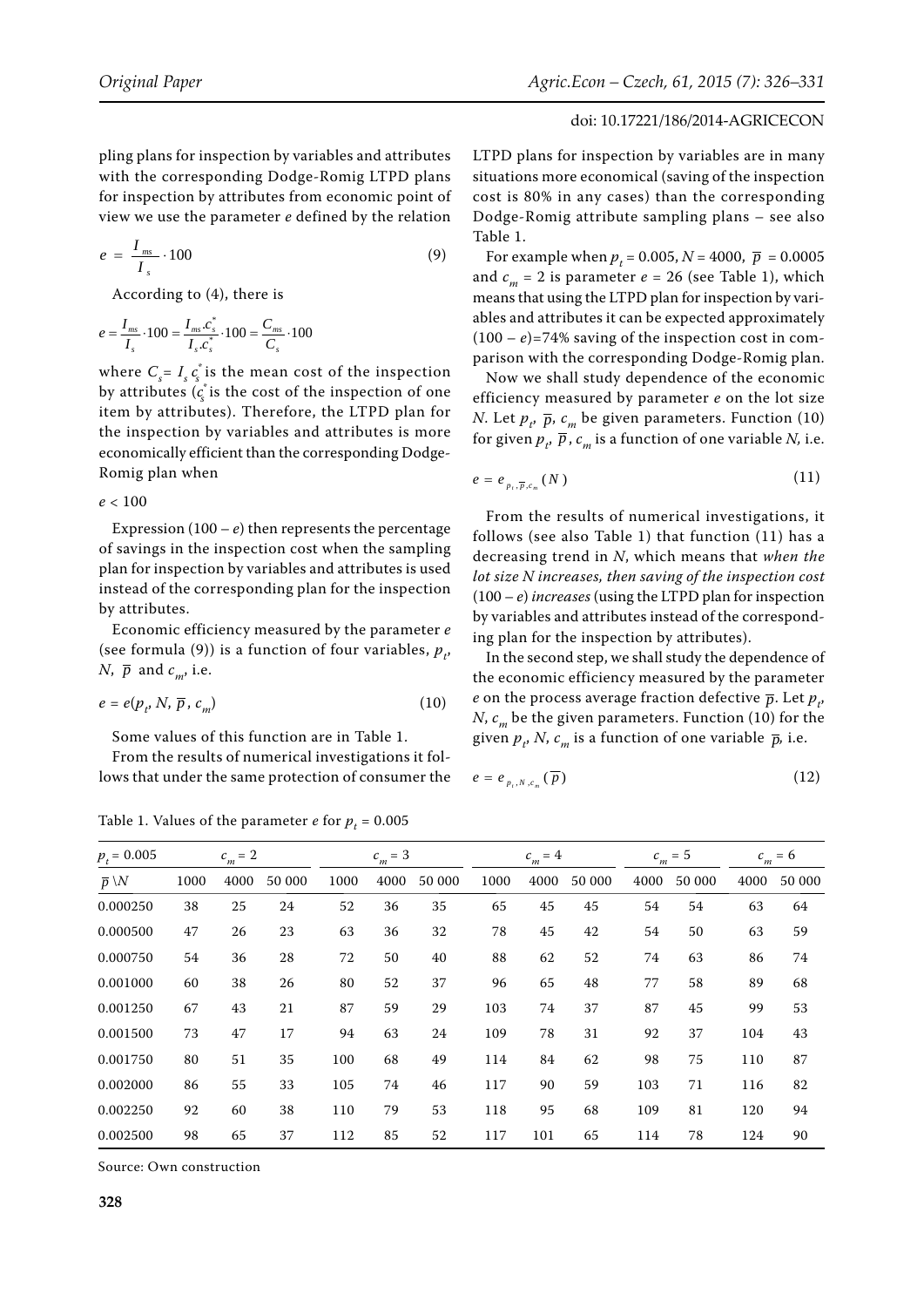pling plans for inspection by variables and attributes with the corresponding Dodge-Romig LTPD plans for inspection by attributes from economic point of view we use the parameter *e* defined by the relation

$$
e = \frac{I_{ms}}{I_s} \cdot 100 \tag{9}
$$

According to (4), there is

$$
e = \frac{I_{ms}}{I_s} \cdot 100 = \frac{I_{ms} \cdot c_s^*}{I_s \cdot c_s^*} \cdot 100 = \frac{C_{ms}}{C_s} \cdot 100
$$

where  $C_s = I_s c_s^*$  is the mean cost of the inspection by attributes  $(c_s^*$  is the cost of the inspection of one item by attributes). Therefore, the LTPD plan for the inspection by variables and attributes is more economically efficient than the corresponding Dodge-Romig plan when

## *e* < 100

Expression  $(100 - e)$  then represents the percentage of savings in the inspection cost when the sampling plan for inspection by variables and attributes is used instead of the corresponding plan for the inspection by attributes.

Economic efficiency measured by the parameter *e* (see formula  $(9)$ ) is a function of four variables,  $p_{t'}$ , *N*,  $\overline{p}$  and  $c_m$ , i.e.

$$
e = e(p_t, N, \overline{p}, c_m) \tag{10}
$$

Some values of this function are in Table 1.

From the results of numerical investigations it follows that under the same protection of consumer the

Table 1. Values of the parameter  $e$  for  $p_{t}$  = 0.005

LTPD plans for inspection by variables are in many situations more economical (saving of the inspection cost is 80% in any cases) than the corresponding Dodge-Romig attribute sampling plans – see also Table 1.

For example when  $p_t = 0.005$ ,  $N = 4000$ ,  $\bar{p} = 0.0005$ and  $c_m = 2$  is parameter  $e = 26$  (see Table 1), which means that using the LTPD plan for inspection by variables and attributes it can be expected approximately  $(100 - e) = 74\%$  saving of the inspection cost in comparison with the corresponding Dodge-Romig plan.

Now we shall study dependence of the economic efficiency measured by parameter *e* on the lot size *N*. Let  $p_t$ ,  $\overline{p}$ ,  $c_m$  be given parameters. Function (10) for given  $p_t$ ,  $\overline{p}$ ,  $c_m$  is a function of one variable *N*, i.e.

$$
e = e_{p_t, \overline{p}, c_m}(N) \tag{11}
$$

From the results of numerical investigations, it follows (see also Table 1) that function (11) has a decreasing trend in *N*, which means that *when the lot size N increases, then saving of the inspection cost*  (100 – *e*) *increases* (using the LTPD plan for inspection by variables and attributes instead of the corresponding plan for the inspection by attributes).

In the second step, we shall study the dependence of the economic efficiency measured by the parameter *e* on the process average fraction defective  $\bar{p}$ . Let  $p_{t'}$ *N*,  $c_m$  be the given parameters. Function (10) for the given  $p_t$ , *N*,  $c_m$  is a function of one variable  $\bar{p}$ , i.e.

$$
e = e_{p_t, N, c_m}(\overline{p})
$$
 (12)

| $p_t = 0.005$              |      | $c_m = 2$ |        |      | $c_m = 3$ |        |      | $c_m = 4$ |        |      | $c_m = 5$ |      | $c_m = 6$ |
|----------------------------|------|-----------|--------|------|-----------|--------|------|-----------|--------|------|-----------|------|-----------|
| $\overline{p} \setminus N$ | 1000 | 4000      | 50 000 | 1000 | 4000      | 50 000 | 1000 | 4000      | 50 000 | 4000 | 50 000    | 4000 | 50 000    |
| 0.000250                   | 38   | 25        | 24     | 52   | 36        | 35     | 65   | 45        | 45     | 54   | 54        | 63   | 64        |
| 0.000500                   | 47   | 26        | 23     | 63   | 36        | 32     | 78   | 45        | 42     | 54   | 50        | 63   | 59        |
| 0.000750                   | 54   | 36        | 28     | 72   | 50        | 40     | 88   | 62        | 52     | 74   | 63        | 86   | 74        |
| 0.001000                   | 60   | 38        | 26     | 80   | 52        | 37     | 96   | 65        | 48     | 77   | 58        | 89   | 68        |
| 0.001250                   | 67   | 43        | 21     | 87   | 59        | 29     | 103  | 74        | 37     | 87   | 45        | 99   | 53        |
| 0.001500                   | 73   | 47        | 17     | 94   | 63        | 24     | 109  | 78        | 31     | 92   | 37        | 104  | 43        |
| 0.001750                   | 80   | 51        | 35     | 100  | 68        | 49     | 114  | 84        | 62     | 98   | 75        | 110  | 87        |
| 0.002000                   | 86   | 55        | 33     | 105  | 74        | 46     | 117  | 90        | 59     | 103  | 71        | 116  | 82        |
| 0.002250                   | 92   | 60        | 38     | 110  | 79        | 53     | 118  | 95        | 68     | 109  | 81        | 120  | 94        |
| 0.002500                   | 98   | 65        | 37     | 112  | 85        | 52     | 117  | 101       | 65     | 114  | 78        | 124  | 90        |

Source: Own construction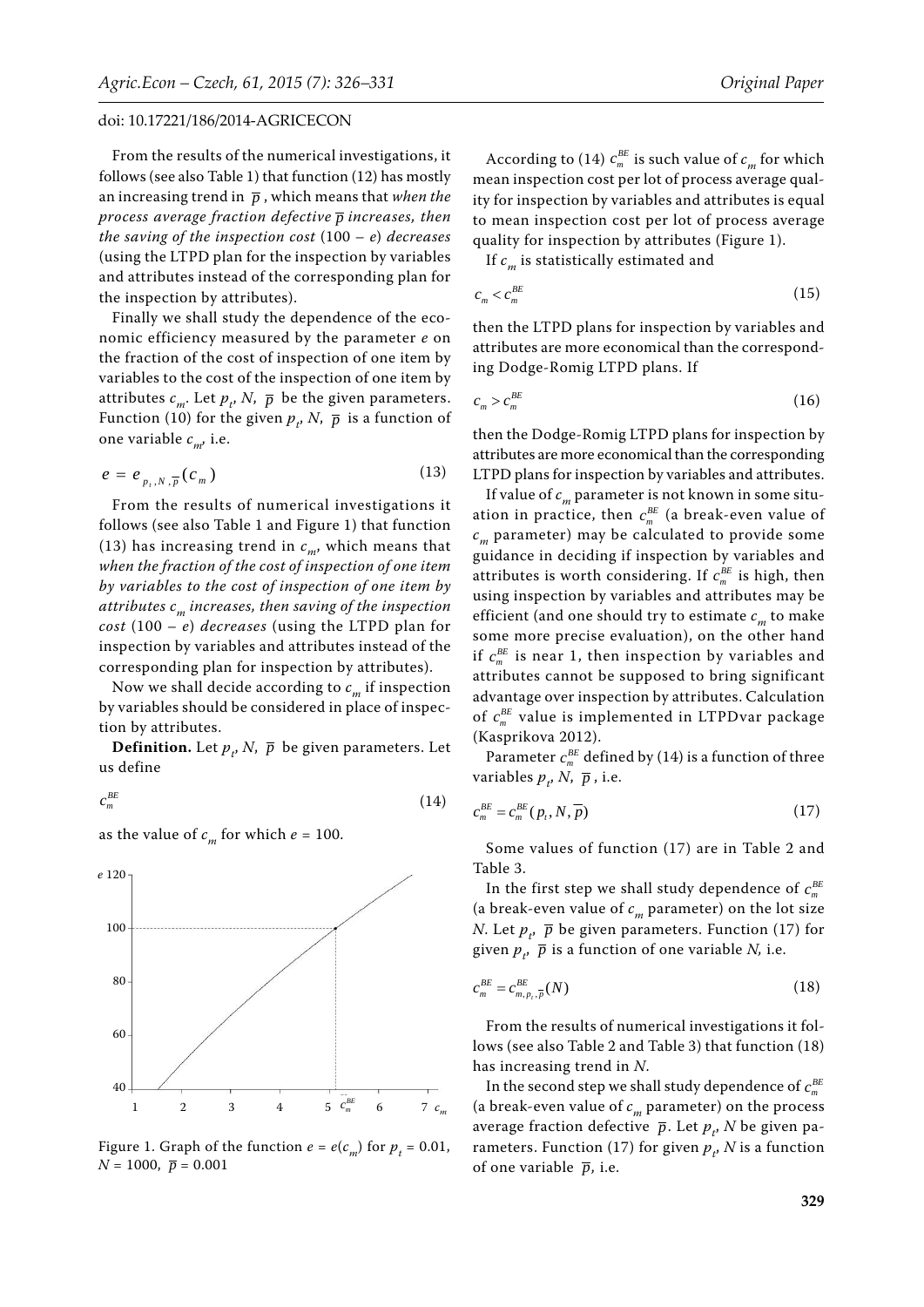From the results of the numerical investigations, it follows (see also Table 1) that function (12) has mostly an increasing trend in  $\bar{p}$ , which means that *when the process average fraction defective*  $\bar{p}$  *increases, then the saving of the inspection cost* (100 – *e*) *decreases*  (using the LTPD plan for the inspection by variables and attributes instead of the corresponding plan for the inspection by attributes).

Finally we shall study the dependence of the economic efficiency measured by the parameter *e* on the fraction of the cost of inspection of one item by variables to the cost of the inspection of one item by attributes  $c_m$ . Let  $p_t$ ,  $N$ ,  $\overline{p}$  be the given parameters. Function (10) for the given  $p_t$ , N,  $\bar{p}$  is a function of one variable  $c_{m}$ , i.e.

$$
e = e_{p_t, N, \overline{p}}(c_m) \tag{13}
$$

From the results of numerical investigations it follows (see also Table 1 and Figure 1) that function (13) has increasing trend in  $c_m$ , which means that *when the fraction of the cost of inspection of one item by variables to the cost of inspection of one item by attributes cm increases, then saving of the inspection cost* (100 – *e*) *decreases* (using the LTPD plan for inspection by variables and attributes instead of the corresponding plan for inspection by attributes).

Now we shall decide according to  $c_m$  if inspection by variables should be considered in place of inspection by attributes.

**Definition.** Let  $p_t$ ,  $N$ ,  $\bar{p}$  be given parameters. Let us define

$$
c_m^{BE} \tag{14}
$$



Figure 1. Graph of the function  $e = e(c_m)$  for  $p_t = 0.01$ ,  $N = 1000, \ \bar{p} = 0.001$ 

According to (14)  $c_m^{BE}$  is such value of  $c_m$  for which mean inspection cost per lot of process average quality for inspection by variables and attributes is equal to mean inspection cost per lot of process average quality for inspection by attributes (Figure 1).

If  $c_m$  is statistically estimated and

$$
c_m < c_m^{BE} \tag{15}
$$

then the LTPD plans for inspection by variables and attributes are more economical than the corresponding Dodge-Romig LTPD plans. If

$$
c_m > c_m^{BE} \tag{16}
$$

then the Dodge-Romig LTPD plans for inspection by attributes are more economical than the corresponding LTPD plans for inspection by variables and attributes.

If value of  $c_m$  parameter is not known in some situation in practice, then  $c_m^{BE}$  (a break-even value of  $c_m$  parameter) may be calculated to provide some guidance in deciding if inspection by variables and attributes is worth considering. If  $c_m^{BE}$  is high, then using inspection by variables and attributes may be efficient (and one should try to estimate  $c_m$  to make some more precise evaluation), on the other hand if  $c_m^{BE}$  is near 1, then inspection by variables and attributes cannot be supposed to bring significant advantage over inspection by attributes. Calculation of  $c_m^{BE}$  value is implemented in LTPDvar package (Kasprikova 2012).

Parameter  $c_{m}^{\textit{BE}}$  defined by (14) is a function of three variables  $p_{t}$ ,  $N$ ,  $\bar{p}$  , i.e.

$$
c_m^{BE} = c_m^{BE}(p_t, N, \overline{p})
$$
\n<sup>(17)</sup>

Some values of function (17) are in Table 2 and Table 3.

In the first step we shall study dependence of  $c_m^{BE}$ (a break-even value of  $c_m$  parameter) on the lot size *N*. Let  $p_t$ ,  $\bar{p}$  be given parameters. Function (17) for given  $p_{t}$ ,  $\bar{p}$  is a function of one variable *N*, i.e.

$$
c_m^{BE} = c_{m,p_i,\bar{p}}^{BE}(N)
$$
\n(18)

From the results of numerical investigations it follows (see also Table 2 and Table 3) that function (18) has increasing trend in *N*.

In the second step we shall study dependence of  $c_{m}^{BE}$ (a break-even value of  $c_m$  parameter) on the process average fraction defective  $\bar{p}$ . Let  $p_t$ , N be given parameters. Function (17) for given  $p_t$ , N is a function of one variable  $\bar{p}$ , i.e.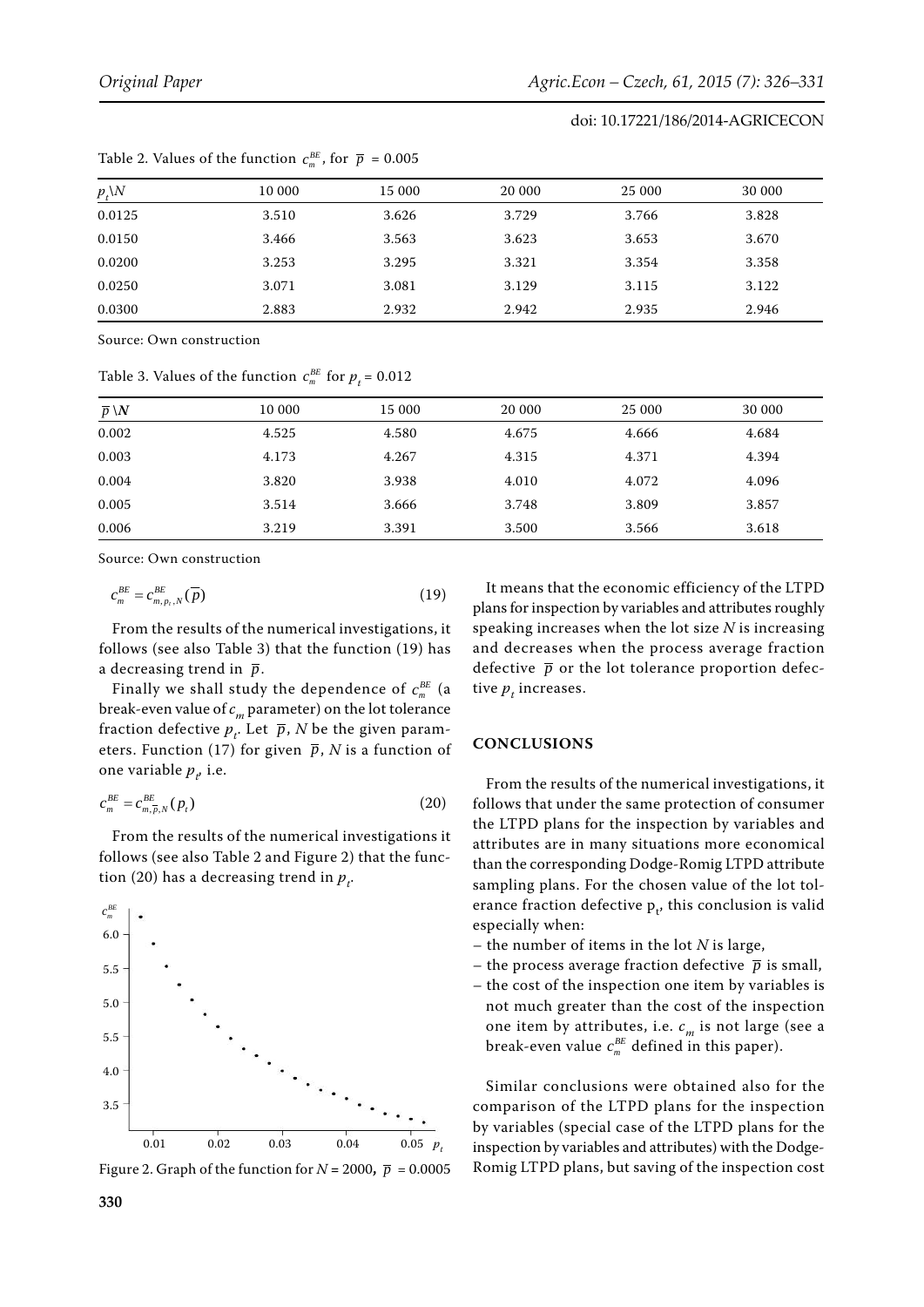| 10 000 | 15 000 | 20 000 | 25 000 | 30 000 |
|--------|--------|--------|--------|--------|
| 3.510  | 3.626  | 3.729  | 3.766  | 3.828  |
| 3.466  | 3.563  | 3.623  | 3.653  | 3.670  |
| 3.253  | 3.295  | 3.321  | 3.354  | 3.358  |
| 3.071  | 3.081  | 3.129  | 3.115  | 3.122  |
| 2.883  | 2.932  | 2.942  | 2.935  | 2.946  |
|        |        |        |        |        |

Table 2. Values of the function  $c_m^{BE}$ , for  $\bar{p} = 0.005$ 

Source: Own construction

Table 3. Values of the function  $c_m^{BE}$  for  $p_t = 0.012$ 

| 10 000<br>15 000<br>20 000<br>25 000<br>$\overline{p} \setminus N$ | 30 000 |
|--------------------------------------------------------------------|--------|
| 0.002<br>4.525<br>4.580<br>4.675<br>4.666                          | 4.684  |
| 0.003<br>4.173<br>4.267<br>4.315<br>4.371                          | 4.394  |
| 3.938<br>0.004<br>3.820<br>4.072<br>4.010                          | 4.096  |
| 0.005<br>3.514<br>3.666<br>3.748<br>3.809                          | 3.857  |
| 3.391<br>0.006<br>3.219<br>3.500<br>3.566                          | 3.618  |

Source: Own construction

$$
c_m^{BE} = c_{m,p_i,N}^{BE}(\overline{p})
$$
\n(19)

From the results of the numerical investigations, it follows (see also Table 3) that the function (19) has a decreasing trend in  $\bar{p}$ .

Finally we shall study the dependence of  $c_{\scriptscriptstyle m}^{\scriptscriptstyle BE}$  (a break-even value of  $c_m$  parameter) on the lot tolerance fraction defective  $p_t$ . Let  $\bar{p}$ ,  $N$  be the given parameters. Function (17) for given  $\bar{p}$ , *N* is a function of one variable  $p_{t'}^{\phantom{\dag}}$  i.e.

$$
c_m^{BE} = c_{m,\bar{p},N}^{BE}(p_t)
$$
 (20)

From the results of the numerical investigations it follows (see also Table 2 and Figure 2) that the function (20) has a decreasing trend in  $p_{t}$ .





It means that the economic efficiency of the LTPD plans for inspection by variables and attributes roughly speaking increases when the lot size *N* is increasing and decreases when the process average fraction defective  $\bar{p}$  or the lot tolerance proportion defective  $p_t$  increases.

## **CONCLUSIONS**

From the results of the numerical investigations, it follows that under the same protection of consumer the LTPD plans for the inspection by variables and attributes are in many situations more economical than the corresponding Dodge-Romig LTPD attribute sampling plans. For the chosen value of the lot tolerance fraction defective  $p_t$ , this conclusion is valid especially when:

- the number of items in the lot *N* is large,
- the process average fraction defective  $\bar{p}$  is small,
- the cost of the inspection one item by variables is not much greater than the cost of the inspection one item by attributes, i.e.  $c_m$  is not large (see a break-even value  $c_{\scriptscriptstyle m}^{\scriptscriptstyle BE}$  defined in this paper).

Similar conclusions were obtained also for the comparison of the LTPD plans for the inspection by variables (special case of the LTPD plans for the inspection by variables and attributes) with the Dodge-Romig LTPD plans, but saving of the inspection cost